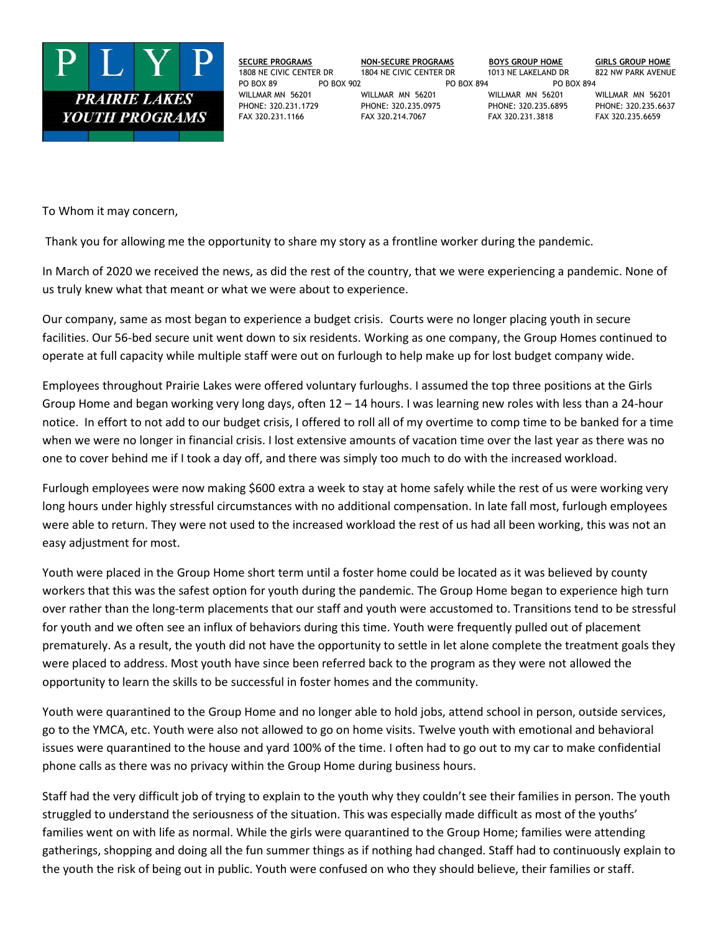

**SECURE PROGRAMS NON-SECURE PROGRAMS BOYS GROUP HOME GIRLS GROUP HOME** 1808 NE CIVIC CENTER DR 1804 NE CIVIC CENTER DR 1013 NE LAKELAND DR 822 NW PARK AVENUE PO BOX 89 PO BOX 902 PO BOX 894 PO BOX 894 WILLMAR MN 56201 WILLMAR MN 56201 WILLMAR MN 56201 WILLMAR MN 56201 PHONE: 320.231.1729 PHONE: 320.235.0975 PHONE: 320.235.6895 PHONE: 320.235.6637 FAX 320.231.1166 FAX 320.214.7067 FAX 320.231.3818 FAX 320.235.6659

To Whom it may concern,

Thank you for allowing me the opportunity to share my story as a frontline worker during the pandemic.

In March of 2020 we received the news, as did the rest of the country, that we were experiencing a pandemic. None of us truly knew what that meant or what we were about to experience.

Our company, same as most began to experience a budget crisis. Courts were no longer placing youth in secure facilities. Our 56-bed secure unit went down to six residents. Working as one company, the Group Homes continued to operate at full capacity while multiple staff were out on furlough to help make up for lost budget company wide.

Employees throughout Prairie Lakes were offered voluntary furloughs. I assumed the top three positions at the Girls Group Home and began working very long days, often 12 – 14 hours. I was learning new roles with less than a 24-hour notice. In effort to not add to our budget crisis, I offered to roll all of my overtime to comp time to be banked for a time when we were no longer in financial crisis. I lost extensive amounts of vacation time over the last year as there was no one to cover behind me if I took a day off, and there was simply too much to do with the increased workload.

Furlough employees were now making \$600 extra a week to stay at home safely while the rest of us were working very long hours under highly stressful circumstances with no additional compensation. In late fall most, furlough employees were able to return. They were not used to the increased workload the rest of us had all been working, this was not an easy adjustment for most.

Youth were placed in the Group Home short term until a foster home could be located as it was believed by county workers that this was the safest option for youth during the pandemic. The Group Home began to experience high turn over rather than the long-term placements that our staff and youth were accustomed to. Transitions tend to be stressful for youth and we often see an influx of behaviors during this time. Youth were frequently pulled out of placement prematurely. As a result, the youth did not have the opportunity to settle in let alone complete the treatment goals they were placed to address. Most youth have since been referred back to the program as they were not allowed the opportunity to learn the skills to be successful in foster homes and the community.

Youth were quarantined to the Group Home and no longer able to hold jobs, attend school in person, outside services, go to the YMCA, etc. Youth were also not allowed to go on home visits. Twelve youth with emotional and behavioral issues were quarantined to the house and yard 100% of the time. I often had to go out to my car to make confidential phone calls as there was no privacy within the Group Home during business hours.

Staff had the very difficult job of trying to explain to the youth why they couldn't see their families in person. The youth struggled to understand the seriousness of the situation. This was especially made difficult as most of the youths' families went on with life as normal. While the girls were quarantined to the Group Home; families were attending gatherings, shopping and doing all the fun summer things as if nothing had changed. Staff had to continuously explain to the youth the risk of being out in public. Youth were confused on who they should believe, their families or staff.